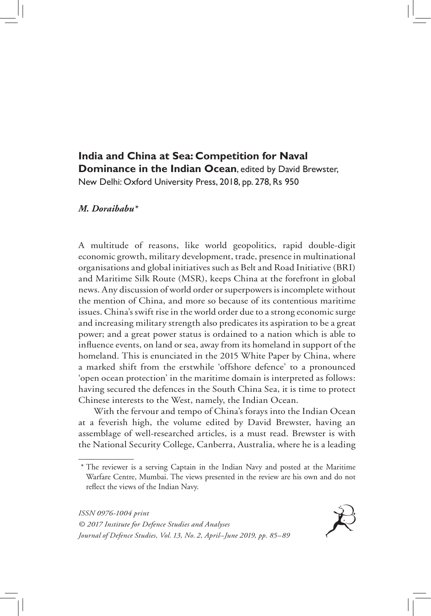## **India and China at Sea: Competition for Naval Dominance in the Indian Ocean**, edited by David Brewster, New Delhi: Oxford University Press, 2018, pp. 278, Rs 950

## *M. Doraibabu\**

A multitude of reasons, like world geopolitics, rapid double-digit economic growth, military development, trade, presence in multinational organisations and global initiatives such as Belt and Road Initiative (BRI) and Maritime Silk Route (MSR), keeps China at the forefront in global news. Any discussion of world order or superpowers is incomplete without the mention of China, and more so because of its contentious maritime issues. China's swift rise in the world order due to a strong economic surge and increasing military strength also predicates its aspiration to be a great power; and a great power status is ordained to a nation which is able to influence events, on land or sea, away from its homeland in support of the homeland. This is enunciated in the 2015 White Paper by China, where a marked shift from the erstwhile 'offshore defence' to a pronounced 'open ocean protection' in the maritime domain is interpreted as follows: having secured the defences in the South China Sea, it is time to protect Chinese interests to the West, namely, the Indian Ocean.

With the fervour and tempo of China's forays into the Indian Ocean at a feverish high, the volume edited by David Brewster, having an assemblage of well-researched articles, is a must read. Brewster is with the National Security College, Canberra, Australia, where he is a leading



<sup>\*</sup> The reviewer is a serving Captain in the Indian Navy and posted at the Maritime Warfare Centre, Mumbai. The views presented in the review are his own and do not reflect the views of the Indian Navy.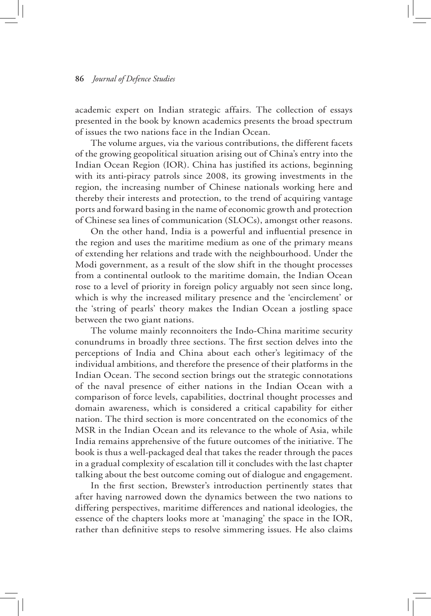## **86** *Journal of Defence Studies*

academic expert on Indian strategic affairs. The collection of essays presented in the book by known academics presents the broad spectrum of issues the two nations face in the Indian Ocean.

The volume argues, via the various contributions, the different facets of the growing geopolitical situation arising out of China's entry into the Indian Ocean Region (IOR). China has justified its actions, beginning with its anti-piracy patrols since 2008, its growing investments in the region, the increasing number of Chinese nationals working here and thereby their interests and protection, to the trend of acquiring vantage ports and forward basing in the name of economic growth and protection of Chinese sea lines of communication (SLOCs), amongst other reasons.

On the other hand, India is a powerful and influential presence in the region and uses the maritime medium as one of the primary means of extending her relations and trade with the neighbourhood. Under the Modi government, as a result of the slow shift in the thought processes from a continental outlook to the maritime domain, the Indian Ocean rose to a level of priority in foreign policy arguably not seen since long, which is why the increased military presence and the 'encirclement' or the 'string of pearls' theory makes the Indian Ocean a jostling space between the two giant nations.

The volume mainly reconnoiters the Indo-China maritime security conundrums in broadly three sections. The first section delves into the perceptions of India and China about each other's legitimacy of the individual ambitions, and therefore the presence of their platforms in the Indian Ocean. The second section brings out the strategic connotations of the naval presence of either nations in the Indian Ocean with a comparison of force levels, capabilities, doctrinal thought processes and domain awareness, which is considered a critical capability for either nation. The third section is more concentrated on the economics of the MSR in the Indian Ocean and its relevance to the whole of Asia, while India remains apprehensive of the future outcomes of the initiative. The book is thus a well-packaged deal that takes the reader through the paces in a gradual complexity of escalation till it concludes with the last chapter talking about the best outcome coming out of dialogue and engagement.

In the first section, Brewster's introduction pertinently states that after having narrowed down the dynamics between the two nations to differing perspectives, maritime differences and national ideologies, the essence of the chapters looks more at 'managing' the space in the IOR, rather than definitive steps to resolve simmering issues. He also claims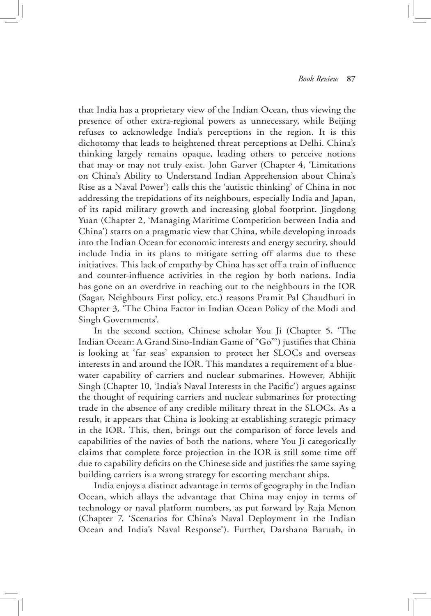that India has a proprietary view of the Indian Ocean, thus viewing the presence of other extra-regional powers as unnecessary, while Beijing refuses to acknowledge India's perceptions in the region. It is this dichotomy that leads to heightened threat perceptions at Delhi. China's thinking largely remains opaque, leading others to perceive notions that may or may not truly exist. John Garver (Chapter 4, 'Limitations on China's Ability to Understand Indian Apprehension about China's Rise as a Naval Power') calls this the 'autistic thinking' of China in not addressing the trepidations of its neighbours, especially India and Japan, of its rapid military growth and increasing global footprint. Jingdong Yuan (Chapter 2, 'Managing Maritime Competition between India and China') starts on a pragmatic view that China, while developing inroads into the Indian Ocean for economic interests and energy security, should include India in its plans to mitigate setting off alarms due to these initiatives. This lack of empathy by China has set off a train of influence and counter-influence activities in the region by both nations. India has gone on an overdrive in reaching out to the neighbours in the IOR (Sagar, Neighbours First policy, etc.) reasons Pramit Pal Chaudhuri in Chapter 3, 'The China Factor in Indian Ocean Policy of the Modi and Singh Governments'.

In the second section, Chinese scholar You Ji (Chapter 5, 'The Indian Ocean: A Grand Sino-Indian Game of "Go"') justifies that China is looking at 'far seas' expansion to protect her SLOCs and overseas interests in and around the IOR. This mandates a requirement of a bluewater capability of carriers and nuclear submarines. However, Abhijit Singh (Chapter 10, 'India's Naval Interests in the Pacific') argues against the thought of requiring carriers and nuclear submarines for protecting trade in the absence of any credible military threat in the SLOCs. As a result, it appears that China is looking at establishing strategic primacy in the IOR. This, then, brings out the comparison of force levels and capabilities of the navies of both the nations, where You Ji categorically claims that complete force projection in the IOR is still some time off due to capability deficits on the Chinese side and justifies the same saying building carriers is a wrong strategy for escorting merchant ships.

India enjoys a distinct advantage in terms of geography in the Indian Ocean, which allays the advantage that China may enjoy in terms of technology or naval platform numbers, as put forward by Raja Menon (Chapter 7, 'Scenarios for China's Naval Deployment in the Indian Ocean and India's Naval Response'). Further, Darshana Baruah, in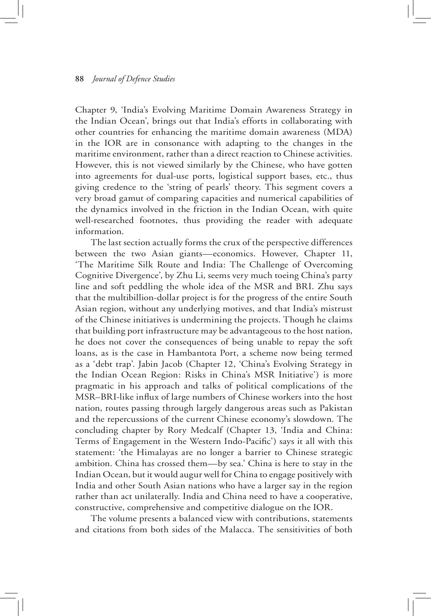## **88** *Journal of Defence Studies*

Chapter 9, 'India's Evolving Maritime Domain Awareness Strategy in the Indian Ocean', brings out that India's efforts in collaborating with other countries for enhancing the maritime domain awareness (MDA) in the IOR are in consonance with adapting to the changes in the maritime environment, rather than a direct reaction to Chinese activities. However, this is not viewed similarly by the Chinese, who have gotten into agreements for dual-use ports, logistical support bases, etc., thus giving credence to the 'string of pearls' theory. This segment covers a very broad gamut of comparing capacities and numerical capabilities of the dynamics involved in the friction in the Indian Ocean, with quite well-researched footnotes, thus providing the reader with adequate information.

The last section actually forms the crux of the perspective differences between the two Asian giants—economics. However, Chapter 11, 'The Maritime Silk Route and India: The Challenge of Overcoming Cognitive Divergence', by Zhu Li, seems very much toeing China's party line and soft peddling the whole idea of the MSR and BRI. Zhu says that the multibillion-dollar project is for the progress of the entire South Asian region, without any underlying motives, and that India's mistrust of the Chinese initiatives is undermining the projects. Though he claims that building port infrastructure may be advantageous to the host nation, he does not cover the consequences of being unable to repay the soft loans, as is the case in Hambantota Port, a scheme now being termed as a 'debt trap'. Jabin Jacob (Chapter 12, 'China's Evolving Strategy in the Indian Ocean Region: Risks in China's MSR Initiative') is more pragmatic in his approach and talks of political complications of the MSR–BRI-like influx of large numbers of Chinese workers into the host nation, routes passing through largely dangerous areas such as Pakistan and the repercussions of the current Chinese economy's slowdown. The concluding chapter by Rory Medcalf (Chapter 13, 'India and China: Terms of Engagement in the Western Indo-Pacific') says it all with this statement: 'the Himalayas are no longer a barrier to Chinese strategic ambition. China has crossed them—by sea.' China is here to stay in the Indian Ocean, but it would augur well for China to engage positively with India and other South Asian nations who have a larger say in the region rather than act unilaterally. India and China need to have a cooperative, constructive, comprehensive and competitive dialogue on the IOR.

The volume presents a balanced view with contributions, statements and citations from both sides of the Malacca. The sensitivities of both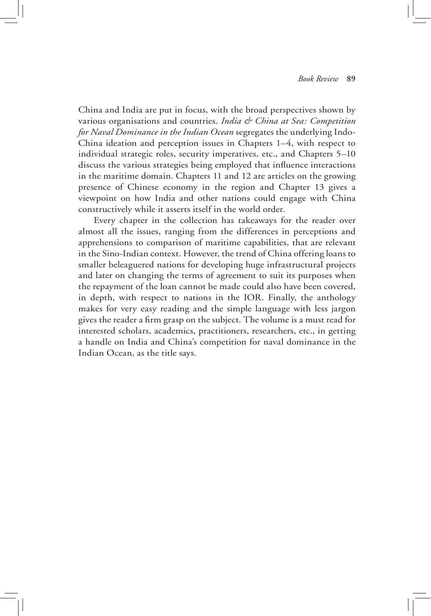China and India are put in focus, with the broad perspectives shown by various organisations and countries. *India & China at Sea: Competition for Naval Dominance in the Indian Ocean* segregates the underlying Indo-China ideation and perception issues in Chapters 1–4, with respect to individual strategic roles, security imperatives, etc., and Chapters 5–10 discuss the various strategies being employed that influence interactions in the maritime domain. Chapters 11 and 12 are articles on the growing presence of Chinese economy in the region and Chapter 13 gives a viewpoint on how India and other nations could engage with China constructively while it asserts itself in the world order.

Every chapter in the collection has takeaways for the reader over almost all the issues, ranging from the differences in perceptions and apprehensions to comparison of maritime capabilities, that are relevant in the Sino-Indian context. However, the trend of China offering loans to smaller beleaguered nations for developing huge infrastructural projects and later on changing the terms of agreement to suit its purposes when the repayment of the loan cannot be made could also have been covered, in depth, with respect to nations in the IOR. Finally, the anthology makes for very easy reading and the simple language with less jargon gives the reader a firm grasp on the subject. The volume is a must read for interested scholars, academics, practitioners, researchers, etc., in getting a handle on India and China's competition for naval dominance in the Indian Ocean, as the title says.